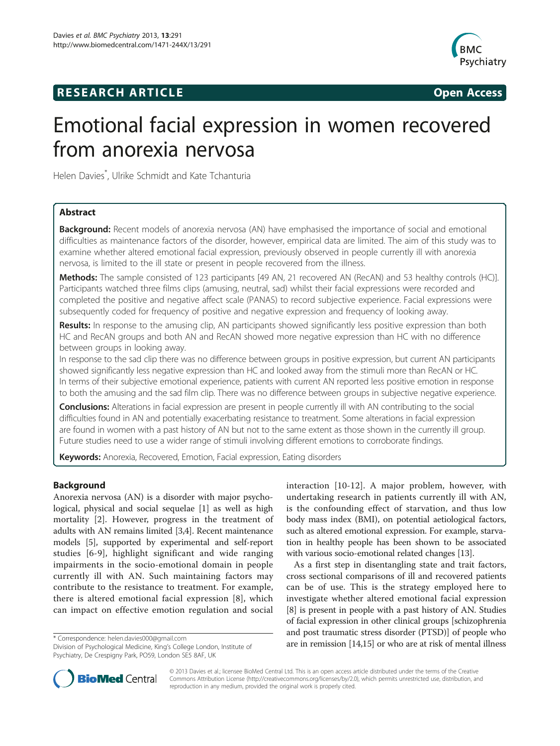# **RESEARCH ARTICLE Example 2014 The SEAR CH ACCESS**



# Emotional facial expression in women recovered from anorexia nervosa

Helen Davies\* , Ulrike Schmidt and Kate Tchanturia

# Abstract

**Background:** Recent models of anorexia nervosa (AN) have emphasised the importance of social and emotional difficulties as maintenance factors of the disorder, however, empirical data are limited. The aim of this study was to examine whether altered emotional facial expression, previously observed in people currently ill with anorexia nervosa, is limited to the ill state or present in people recovered from the illness.

Methods: The sample consisted of 123 participants [49 AN, 21 recovered AN (RecAN) and 53 healthy controls (HC)]. Participants watched three films clips (amusing, neutral, sad) whilst their facial expressions were recorded and completed the positive and negative affect scale (PANAS) to record subjective experience. Facial expressions were subsequently coded for frequency of positive and negative expression and frequency of looking away.

Results: In response to the amusing clip, AN participants showed significantly less positive expression than both HC and RecAN groups and both AN and RecAN showed more negative expression than HC with no difference between groups in looking away.

In response to the sad clip there was no difference between groups in positive expression, but current AN participants showed significantly less negative expression than HC and looked away from the stimuli more than RecAN or HC. In terms of their subjective emotional experience, patients with current AN reported less positive emotion in response to both the amusing and the sad film clip. There was no difference between groups in subjective negative experience.

Conclusions: Alterations in facial expression are present in people currently ill with AN contributing to the social difficulties found in AN and potentially exacerbating resistance to treatment. Some alterations in facial expression are found in women with a past history of AN but not to the same extent as those shown in the currently ill group. Future studies need to use a wider range of stimuli involving different emotions to corroborate findings.

Keywords: Anorexia, Recovered, Emotion, Facial expression, Eating disorders

# Background

Anorexia nervosa (AN) is a disorder with major psychological, physical and social sequelae [[1](#page-7-0)] as well as high mortality [\[2](#page-7-0)]. However, progress in the treatment of adults with AN remains limited [[3,4](#page-7-0)]. Recent maintenance models [\[5](#page-7-0)], supported by experimental and self-report studies [[6-9\]](#page-7-0), highlight significant and wide ranging impairments in the socio-emotional domain in people currently ill with AN. Such maintaining factors may contribute to the resistance to treatment. For example, there is altered emotional facial expression [[8\]](#page-7-0), which can impact on effective emotion regulation and social

interaction [[10](#page-7-0)-[12](#page-7-0)]. A major problem, however, with undertaking research in patients currently ill with AN, is the confounding effect of starvation, and thus low body mass index (BMI), on potential aetiological factors, such as altered emotional expression. For example, starvation in healthy people has been shown to be associated with various socio-emotional related changes [[13](#page-7-0)].

As a first step in disentangling state and trait factors, cross sectional comparisons of ill and recovered patients can be of use. This is the strategy employed here to investigate whether altered emotional facial expression [[8\]](#page-7-0) is present in people with a past history of AN. Studies of facial expression in other clinical groups [schizophrenia and post traumatic stress disorder (PTSD)] of people who \* Correspondence: [helen.davies000@gmail.com](mailto:helen.davies000@gmail.com) and post tradinique substitute of the post tradinique substitute of the mention (14,15) or who are at risk of mental illness



© 2013 Davies et al.; licensee BioMed Central Ltd. This is an open access article distributed under the terms of the Creative Commons Attribution License [\(http://creativecommons.org/licenses/by/2.0\)](http://creativecommons.org/licenses/by/2.0), which permits unrestricted use, distribution, and reproduction in any medium, provided the original work is properly cited.

Division of Psychological Medicine, King's College London, Institute of Psychiatry, De Crespigny Park, PO59, London SE5 8AF, UK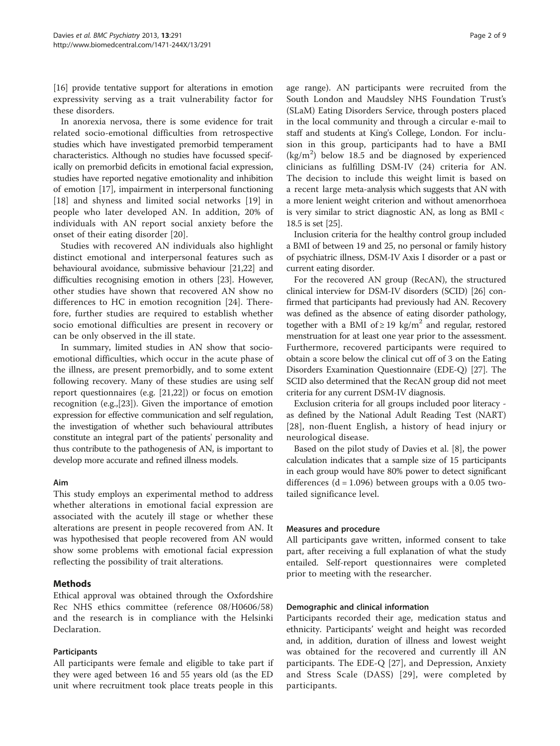[[16](#page-7-0)] provide tentative support for alterations in emotion expressivity serving as a trait vulnerability factor for these disorders.

In anorexia nervosa, there is some evidence for trait related socio-emotional difficulties from retrospective studies which have investigated premorbid temperament characteristics. Although no studies have focussed specifically on premorbid deficits in emotional facial expression, studies have reported negative emotionality and inhibition of emotion [\[17\]](#page-7-0), impairment in interpersonal functioning [[18\]](#page-7-0) and shyness and limited social networks [\[19](#page-8-0)] in people who later developed AN. In addition, 20% of individuals with AN report social anxiety before the onset of their eating disorder [[20\]](#page-8-0).

Studies with recovered AN individuals also highlight distinct emotional and interpersonal features such as behavioural avoidance, submissive behaviour [\[21,22](#page-8-0)] and difficulties recognising emotion in others [\[23\]](#page-8-0). However, other studies have shown that recovered AN show no differences to HC in emotion recognition [[24\]](#page-8-0). Therefore, further studies are required to establish whether socio emotional difficulties are present in recovery or can be only observed in the ill state.

In summary, limited studies in AN show that socioemotional difficulties, which occur in the acute phase of the illness, are present premorbidly, and to some extent following recovery. Many of these studies are using self report questionnaires (e.g. [\[21,22](#page-8-0)]) or focus on emotion recognition (e.g.,[[23\]](#page-8-0)). Given the importance of emotion expression for effective communication and self regulation, the investigation of whether such behavioural attributes constitute an integral part of the patients' personality and thus contribute to the pathogenesis of AN, is important to develop more accurate and refined illness models.

# Aim

This study employs an experimental method to address whether alterations in emotional facial expression are associated with the acutely ill stage or whether these alterations are present in people recovered from AN. It was hypothesised that people recovered from AN would show some problems with emotional facial expression reflecting the possibility of trait alterations.

# Methods

Ethical approval was obtained through the Oxfordshire Rec NHS ethics committee (reference 08/H0606/58) and the research is in compliance with the Helsinki Declaration.

# Participants

All participants were female and eligible to take part if they were aged between 16 and 55 years old (as the ED unit where recruitment took place treats people in this

age range). AN participants were recruited from the South London and Maudsley NHS Foundation Trust's (SLaM) Eating Disorders Service, through posters placed in the local community and through a circular e-mail to staff and students at King's College, London. For inclusion in this group, participants had to have a BMI  $(kg/m<sup>2</sup>)$  below 18.5 and be diagnosed by experienced clinicians as fulfilling DSM-IV (24) criteria for AN. The decision to include this weight limit is based on a recent large meta-analysis which suggests that AN with a more lenient weight criterion and without amenorrhoea is very similar to strict diagnostic AN, as long as BMI < 18.5 is set [\[25](#page-8-0)].

Inclusion criteria for the healthy control group included a BMI of between 19 and 25, no personal or family history of psychiatric illness, DSM-IV Axis I disorder or a past or current eating disorder.

For the recovered AN group (RecAN), the structured clinical interview for DSM-IV disorders (SCID) [\[26\]](#page-8-0) confirmed that participants had previously had AN. Recovery was defined as the absence of eating disorder pathology, together with a BMI of  $\geq$  19 kg/m<sup>2</sup> and regular, restored menstruation for at least one year prior to the assessment. Furthermore, recovered participants were required to obtain a score below the clinical cut off of 3 on the Eating Disorders Examination Questionnaire (EDE-Q) [\[27\]](#page-8-0). The SCID also determined that the RecAN group did not meet criteria for any current DSM-IV diagnosis.

Exclusion criteria for all groups included poor literacy as defined by the National Adult Reading Test (NART) [[28](#page-8-0)], non-fluent English, a history of head injury or neurological disease.

Based on the pilot study of Davies et al. [[8\]](#page-7-0), the power calculation indicates that a sample size of 15 participants in each group would have 80% power to detect significant differences  $(d = 1.096)$  between groups with a 0.05 twotailed significance level.

# Measures and procedure

All participants gave written, informed consent to take part, after receiving a full explanation of what the study entailed. Self-report questionnaires were completed prior to meeting with the researcher.

# Demographic and clinical information

Participants recorded their age, medication status and ethnicity. Participants' weight and height was recorded and, in addition, duration of illness and lowest weight was obtained for the recovered and currently ill AN participants. The EDE-Q [\[27](#page-8-0)], and Depression, Anxiety and Stress Scale (DASS) [\[29\]](#page-8-0), were completed by participants.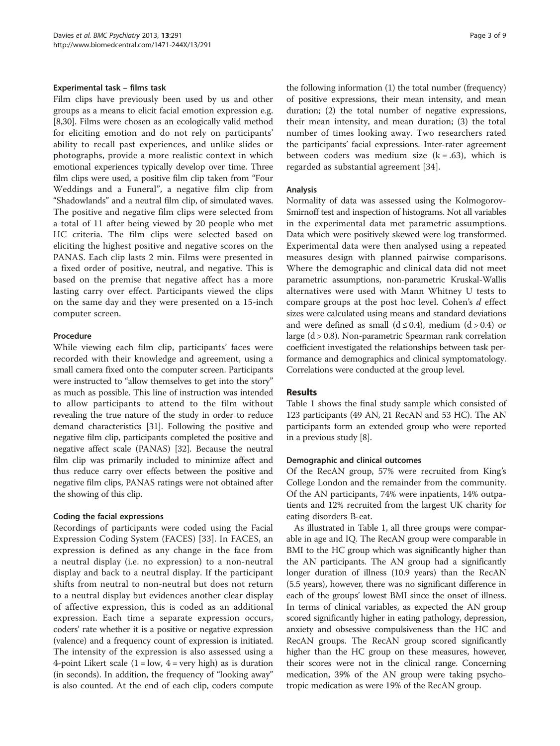#### Experimental task – films task

Film clips have previously been used by us and other groups as a means to elicit facial emotion expression e.g. [[8,](#page-7-0)[30](#page-8-0)]. Films were chosen as an ecologically valid method for eliciting emotion and do not rely on participants' ability to recall past experiences, and unlike slides or photographs, provide a more realistic context in which emotional experiences typically develop over time. Three film clips were used, a positive film clip taken from "Four Weddings and a Funeral", a negative film clip from "Shadowlands" and a neutral film clip, of simulated waves. The positive and negative film clips were selected from a total of 11 after being viewed by 20 people who met HC criteria. The film clips were selected based on eliciting the highest positive and negative scores on the PANAS. Each clip lasts 2 min. Films were presented in a fixed order of positive, neutral, and negative. This is based on the premise that negative affect has a more lasting carry over effect. Participants viewed the clips on the same day and they were presented on a 15-inch computer screen.

#### Procedure

While viewing each film clip, participants' faces were recorded with their knowledge and agreement, using a small camera fixed onto the computer screen. Participants were instructed to "allow themselves to get into the story" as much as possible. This line of instruction was intended to allow participants to attend to the film without revealing the true nature of the study in order to reduce demand characteristics [[31](#page-8-0)]. Following the positive and negative film clip, participants completed the positive and negative affect scale (PANAS) [\[32\]](#page-8-0). Because the neutral film clip was primarily included to minimize affect and thus reduce carry over effects between the positive and negative film clips, PANAS ratings were not obtained after the showing of this clip.

## Coding the facial expressions

Recordings of participants were coded using the Facial Expression Coding System (FACES) [[33\]](#page-8-0). In FACES, an expression is defined as any change in the face from a neutral display (i.e. no expression) to a non-neutral display and back to a neutral display. If the participant shifts from neutral to non-neutral but does not return to a neutral display but evidences another clear display of affective expression, this is coded as an additional expression. Each time a separate expression occurs, coders' rate whether it is a positive or negative expression (valence) and a frequency count of expression is initiated. The intensity of the expression is also assessed using a 4-point Likert scale  $(1 = low, 4 = very high)$  as is duration (in seconds). In addition, the frequency of "looking away" is also counted. At the end of each clip, coders compute

the following information (1) the total number (frequency) of positive expressions, their mean intensity, and mean duration; (2) the total number of negative expressions, their mean intensity, and mean duration; (3) the total number of times looking away. Two researchers rated the participants' facial expressions. Inter-rater agreement between coders was medium size  $(k = .63)$ , which is regarded as substantial agreement [[34](#page-8-0)].

#### Analysis

Normality of data was assessed using the Kolmogorov-Smirnoff test and inspection of histograms. Not all variables in the experimental data met parametric assumptions. Data which were positively skewed were log transformed. Experimental data were then analysed using a repeated measures design with planned pairwise comparisons. Where the demographic and clinical data did not meet parametric assumptions, non-parametric Kruskal-Wallis alternatives were used with Mann Whitney U tests to compare groups at the post hoc level. Cohen's d effect sizes were calculated using means and standard deviations and were defined as small  $(d \le 0.4)$ , medium  $(d > 0.4)$  or large (d > 0.8). Non-parametric Spearman rank correlation coefficient investigated the relationships between task performance and demographics and clinical symptomatology. Correlations were conducted at the group level.

#### Results

Table [1](#page-3-0) shows the final study sample which consisted of 123 participants (49 AN, 21 RecAN and 53 HC). The AN participants form an extended group who were reported in a previous study [[8\]](#page-7-0).

#### Demographic and clinical outcomes

Of the RecAN group, 57% were recruited from King's College London and the remainder from the community. Of the AN participants, 74% were inpatients, 14% outpatients and 12% recruited from the largest UK charity for eating disorders B-eat.

As illustrated in Table [1](#page-3-0), all three groups were comparable in age and IQ. The RecAN group were comparable in BMI to the HC group which was significantly higher than the AN participants. The AN group had a significantly longer duration of illness (10.9 years) than the RecAN (5.5 years), however, there was no significant difference in each of the groups' lowest BMI since the onset of illness. In terms of clinical variables, as expected the AN group scored significantly higher in eating pathology, depression, anxiety and obsessive compulsiveness than the HC and RecAN groups. The RecAN group scored significantly higher than the HC group on these measures, however, their scores were not in the clinical range. Concerning medication, 39% of the AN group were taking psychotropic medication as were 19% of the RecAN group.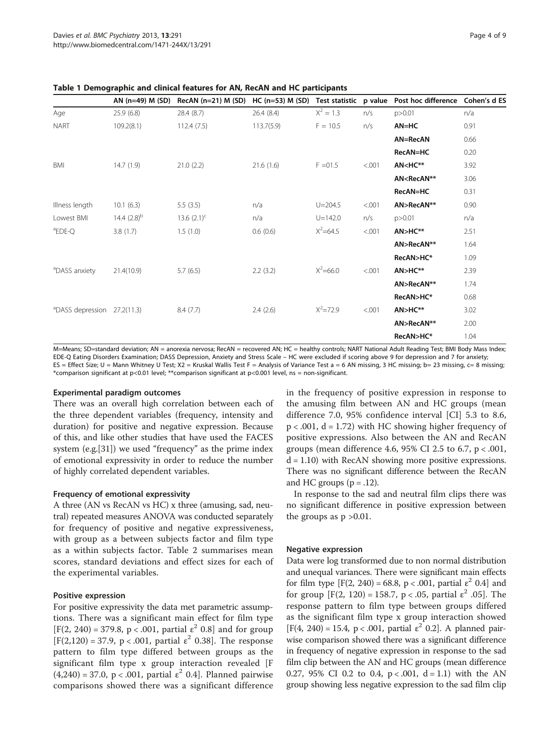|                                         |                  | AN (n=49) M (SD) RecAN (n=21) M (SD) HC (n=53) M (SD) Test statistic p value Post hoc difference Cohen's d ES |            |              |        |                                             |      |
|-----------------------------------------|------------------|---------------------------------------------------------------------------------------------------------------|------------|--------------|--------|---------------------------------------------|------|
| Age                                     | 25.9(6.8)        | 28.4(8.7)                                                                                                     | 26.4(8.4)  | $X^2 = 1.3$  | n/s    | p > 0.01                                    | n/a  |
| <b>NART</b>                             | 109.2(8.1)       | 112.4(7.5)                                                                                                    | 113.7(5.9) | $F = 10.5$   | n/s    | $AN=HC$                                     | 0.91 |
|                                         |                  |                                                                                                               |            |              |        | AN=RecAN                                    | 0.66 |
|                                         |                  |                                                                                                               |            |              |        | RecAN=HC                                    | 0.20 |
| BMI                                     | 14.7(1.9)        | 21.0(2.2)                                                                                                     | 21.6(1.6)  | $F = 01.5$   | < .001 | AN <hc**< td=""><td>3.92</td></hc**<>       | 3.92 |
|                                         |                  |                                                                                                               |            |              |        | AN <recan**< td=""><td>3.06</td></recan**<> | 3.06 |
|                                         |                  |                                                                                                               |            |              |        | RecAN=HC                                    | 0.31 |
| Illness length                          | 10.1(6.3)        | 5.5(3.5)                                                                                                      | n/a        | $U = 204.5$  | < .001 | AN>RecAN**                                  | 0.90 |
| Lowest BMI                              | 14.4 $(2.8)^{b}$ | 13.6 $(2.1)^{c}$                                                                                              | n/a        | $U = 142.0$  | n/s    | p > 0.01                                    | n/a  |
| <sup>a</sup> EDE-Q                      | 3.8(1.7)         | 1.5(1.0)                                                                                                      | 0.6(0.6)   | $X^2 = 64.5$ | < .001 | $AN > HC**$                                 | 2.51 |
|                                         |                  |                                                                                                               |            |              |        | AN>RecAN**                                  | 1.64 |
|                                         |                  |                                                                                                               |            |              |        | RecAN>HC*                                   | 1.09 |
| <sup>a</sup> DASS anxiety               | 21.4(10.9)       | 5.7(6.5)                                                                                                      | 2.2(3.2)   | $X^2 = 66.0$ | < .001 | $AN > HC**$                                 | 2.39 |
|                                         |                  |                                                                                                               |            |              |        | AN>RecAN**                                  | 1.74 |
|                                         |                  |                                                                                                               |            |              |        | RecAN>HC*                                   | 0.68 |
| <sup>a</sup> DASS depression 27.2(11.3) |                  | 8.4(7.7)                                                                                                      | 2.4(2.6)   | $X^2 = 72.9$ | < .001 | $AN > HC**$                                 | 3.02 |
|                                         |                  |                                                                                                               |            |              |        | AN>RecAN**                                  | 2.00 |
|                                         |                  |                                                                                                               |            |              |        | RecAN>HC*                                   | 1.04 |

<span id="page-3-0"></span>Table 1 Demographic and clinical features for AN, RecAN and HC participants

M=Means; SD=standard deviation; AN = anorexia nervosa; RecAN = recovered AN; HC = healthy controls; NART National Adult Reading Test; BMI Body Mass Index; EDE-Q Eating Disorders Examination; DASS Depression, Anxiety and Stress Scale – HC were excluded if scoring above 9 for depression and 7 for anxiety; ES = Effect Size; U = Mann Whitney U Test; X2 = Kruskal Wallis Test F = Analysis of Variance Test a = 6 AN missing, 3 HC missing; b= 23 missing, c= 8 missing; \*comparison significant at p<0.01 level; \*\*comparison significant at p<0.001 level, ns = non-significant.

#### Experimental paradigm outcomes

There was an overall high correlation between each of the three dependent variables (frequency, intensity and duration) for positive and negative expression. Because of this, and like other studies that have used the FACES system (e.g.[\[31](#page-8-0)]) we used "frequency" as the prime index of emotional expressivity in order to reduce the number of highly correlated dependent variables.

#### Frequency of emotional expressivity

A three (AN vs RecAN vs HC) x three (amusing, sad, neutral) repeated measures ANOVA was conducted separately for frequency of positive and negative expressiveness, with group as a between subjects factor and film type as a within subjects factor. Table [2](#page-4-0) summarises mean scores, standard deviations and effect sizes for each of the experimental variables.

#### Positive expression

For positive expressivity the data met parametric assumptions. There was a significant main effect for film type [F(2, 240) = 379.8, p < .001, partial  $\varepsilon^2$  0.8] and for group [F(2,120) = 37.9, p < .001, partial  $ε<sup>2</sup>$  0.38]. The response pattern to film type differed between groups as the significant film type x group interaction revealed [F  $(4,240) = 37.0, p < .001,$  partial  $\varepsilon^2$  0.4]. Planned pairwise comparisons showed there was a significant difference in the frequency of positive expression in response to the amusing film between AN and HC groups (mean difference 7.0, 95% confidence interval [CI] 5.3 to 8.6,  $p < .001$ ,  $d = 1.72$ ) with HC showing higher frequency of positive expressions. Also between the AN and RecAN groups (mean difference 4.6, 95% CI 2.5 to 6.7, p < .001,  $d = 1.10$ ) with RecAN showing more positive expressions. There was no significant difference between the RecAN and HC groups  $(p=.12)$ .

In response to the sad and neutral film clips there was no significant difference in positive expression between the groups as  $p > 0.01$ .

#### Negative expression

Data were log transformed due to non normal distribution and unequal variances. There were significant main effects for film type  $[F(2, 240) = 68.8, p < .001,$  partial  $\varepsilon^2$  0.4] and for group [F(2, 120) = 158.7, p < .05, partial  $\varepsilon^2$  .05]. The response pattern to film type between groups differed as the significant film type x group interaction showed [F(4, 240) = 15.4, p < .001, partial  $\varepsilon^2$  0.2]. A planned pairwise comparison showed there was a significant difference in frequency of negative expression in response to the sad film clip between the AN and HC groups (mean difference 0.27, 95% CI 0.2 to 0.4,  $p < .001$ ,  $d = 1.1$ ) with the AN group showing less negative expression to the sad film clip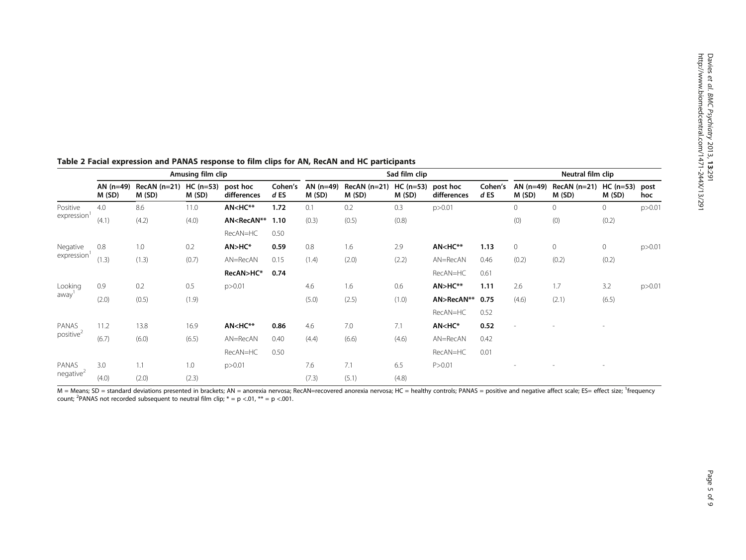|                                                 | Amusing film clip    |                        |                      |                                                                                                                                                                                                              |                   | Sad film clip        |                        |                    |                                                                                                                                                 |                   | Neutral film clip        |                        |                           |          |
|-------------------------------------------------|----------------------|------------------------|----------------------|--------------------------------------------------------------------------------------------------------------------------------------------------------------------------------------------------------------|-------------------|----------------------|------------------------|--------------------|-------------------------------------------------------------------------------------------------------------------------------------------------|-------------------|--------------------------|------------------------|---------------------------|----------|
|                                                 | AN $(n=49)$<br>M(SD) | $RecAN(n=21)$<br>M(SD) | $HC (n=53)$<br>M(SD) | post hoc<br>differences                                                                                                                                                                                      | Cohen's<br>$d$ ES | AN $(n=49)$<br>M(SD) | $RecAN(n=21)$<br>M(SD) | HC (n=53)<br>M(SD) | post hoc<br>differences                                                                                                                         | Cohen's<br>$d$ ES | AN $(n=49)$<br>M(SD)     | $RecAN(n=21)$<br>M(SD) | $HC (n=53)$ post<br>M(SD) | hoc      |
| Positive<br>expression                          | 4.0                  | 8.6                    | 11.0                 | AN <hc**< td=""><td>1.72</td><td>0.1</td><td>0.2</td><td>0.3</td><td>p &gt; 0.01</td><td></td><td>0</td><td>0</td><td><math>\circ</math></td><td>p &gt; 0.01</td></hc**<>                                    | 1.72              | 0.1                  | 0.2                    | 0.3                | p > 0.01                                                                                                                                        |                   | 0                        | 0                      | $\circ$                   | p > 0.01 |
|                                                 | (4.1)                | (4.2)                  | (4.0)                | AN <recan**< td=""><td>1.10</td><td>(0.3)</td><td>(0.5)</td><td>(0.8)</td><td></td><td></td><td>(0)</td><td>(0)</td><td>(0.2)</td><td></td></recan**<>                                                       | 1.10              | (0.3)                | (0.5)                  | (0.8)              |                                                                                                                                                 |                   | (0)                      | (0)                    | (0.2)                     |          |
|                                                 |                      |                        |                      | RecAN=HC                                                                                                                                                                                                     | 0.50              |                      |                        |                    |                                                                                                                                                 |                   |                          |                        |                           |          |
| Negative<br>expression                          | 0.8                  | 1.0                    | 0.2                  | AN>HC*                                                                                                                                                                                                       | 0.59              | 0.8                  | 1.6                    | 2.9                | AN <hc**< td=""><td>1.13</td><td><math>\circ</math></td><td><math>\mathbf{0}</math></td><td><math>\circ</math></td><td>p &gt; 0.01</td></hc**<> | 1.13              | $\circ$                  | $\mathbf{0}$           | $\circ$                   | p > 0.01 |
|                                                 | (1.3)                | (1.3)                  | (0.7)                | AN=RecAN                                                                                                                                                                                                     | 0.15              | (1.4)                | (2.0)                  | (2.2)              | AN=RecAN                                                                                                                                        | 0.46              | (0.2)                    | (0.2)                  | (0.2)                     |          |
|                                                 |                      |                        |                      | RecAN>HC*                                                                                                                                                                                                    | 0.74              |                      |                        |                    | RecAN=HC                                                                                                                                        | 0.61              |                          |                        |                           |          |
| Looking<br>away'                                | 0.9                  | 0.2                    | 0.5                  | p > 0.01                                                                                                                                                                                                     |                   | 4.6                  | 1.6                    | 0.6                | AN>HC**                                                                                                                                         | 1.11              | 2.6                      | 1.7                    | 3.2                       | p > 0.01 |
|                                                 | (2.0)                | (0.5)                  | (1.9)                |                                                                                                                                                                                                              |                   | (5.0)                | (2.5)                  | (1.0)              | AN>RecAN**                                                                                                                                      | 0.75              | (4.6)                    | (2.1)                  | (6.5)                     |          |
|                                                 |                      |                        |                      |                                                                                                                                                                                                              |                   |                      |                        |                    | RecAN=HC                                                                                                                                        | 0.52              |                          |                        |                           |          |
| PANAS<br>11.2<br>positive <sup>2</sup><br>(6.7) |                      | 13.8                   | 16.9                 | AN <hc**< td=""><td>0.86</td><td>4.6</td><td>7.0</td><td>7.1</td><td>AN<hc*< td=""><td>0.52</td><td><math display="inline">\overline{\phantom{a}}</math></td><td></td><td></td><td></td></hc*<></td></hc**<> | 0.86              | 4.6                  | 7.0                    | 7.1                | AN <hc*< td=""><td>0.52</td><td><math display="inline">\overline{\phantom{a}}</math></td><td></td><td></td><td></td></hc*<>                     | 0.52              | $\overline{\phantom{a}}$ |                        |                           |          |
|                                                 |                      | (6.0)                  | (6.5)                | $AN = RecAN$                                                                                                                                                                                                 | 0.40              | (4.4)                | (6.6)                  | (4.6)              | AN=RecAN                                                                                                                                        | 0.42              |                          |                        |                           |          |
|                                                 |                      |                        |                      | RecAN=HC                                                                                                                                                                                                     | 0.50              |                      |                        |                    | RecAN=HC                                                                                                                                        | 0.01              |                          |                        |                           |          |
| PANAS<br>negative <sup>2</sup>                  | 3.0                  | 1.1                    | 1.0                  | p > 0.01                                                                                                                                                                                                     |                   | 7.6                  | 7.1                    | 6.5                | P > 0.01                                                                                                                                        |                   |                          |                        |                           |          |
|                                                 | (4.0)                | (2.0)                  | (2.3)                |                                                                                                                                                                                                              |                   | (7.3)                | (5.1)                  | (4.8)              |                                                                                                                                                 |                   |                          |                        |                           |          |

#### <span id="page-4-0"></span>Table 2 Facial expression and PANAS response to film clips for AN, RecAN and HC participants

M = Means; SD = standard deviations presented in brackets; AN = anorexia nervosa; RecAN=recovered anorexia nervosa; HC = healthy controls; PANAS = positive and negative affect scale; ES= effect size; <sup>1</sup>frequency count; <sup>2</sup>PANAS not recorded subsequent to neutral film clip;  $* = p < .01$ ,  $** = p < .001$ .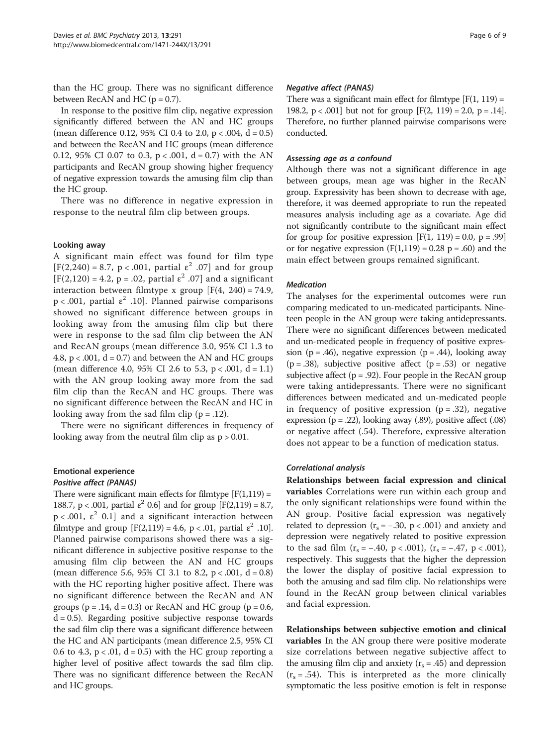than the HC group. There was no significant difference between RecAN and HC ( $p = 0.7$ ).

In response to the positive film clip, negative expression significantly differed between the AN and HC groups (mean difference 0.12, 95% CI 0.4 to 2.0,  $p < .004$ , d = 0.5) and between the RecAN and HC groups (mean difference 0.12, 95% CI 0.07 to 0.3,  $p < .001$ ,  $d = 0.7$ ) with the AN participants and RecAN group showing higher frequency of negative expression towards the amusing film clip than the HC group.

There was no difference in negative expression in response to the neutral film clip between groups.

#### Looking away

A significant main effect was found for film type  $[F(2,240) = 8.7, p < .001,$  partial  $\varepsilon^2$  .07] and for group  $[F(2,120) = 4.2, p = .02, partial \varepsilon^2 .07]$  and a significant interaction between filmtype x group  $[F(4, 240) = 74.9]$ ,  $p < .001$ , partial  $\varepsilon^2$  .10]. Planned pairwise comparisons showed no significant difference between groups in looking away from the amusing film clip but there were in response to the sad film clip between the AN and RecAN groups (mean difference 3.0, 95% CI 1.3 to 4.8,  $p < .001$ ,  $d = 0.7$ ) and between the AN and HC groups (mean difference 4.0, 95% CI 2.6 to 5.3,  $p < .001$ ,  $d = 1.1$ ) with the AN group looking away more from the sad film clip than the RecAN and HC groups. There was no significant difference between the RecAN and HC in looking away from the sad film clip  $(p = .12)$ .

There were no significant differences in frequency of looking away from the neutral film clip as  $p > 0.01$ .

# Emotional experience

# Positive affect (PANAS)

There were significant main effects for filmtype  $[F(1,119) =$ 188.7, p < .001, partial  $\varepsilon^2$  0.6] and for group [F(2,119) = 8.7,  $p < .001$ ,  $\varepsilon^2$  0.1] and a significant interaction between filmtype and group  $[F(2,119) = 4.6, p < .01,$  partial  $\varepsilon^2$  .10]. Planned pairwise comparisons showed there was a significant difference in subjective positive response to the amusing film clip between the AN and HC groups (mean difference 5.6, 95% CI 3.1 to 8.2,  $p < .001$ ,  $d = 0.8$ ) with the HC reporting higher positive affect. There was no significant difference between the RecAN and AN groups ( $p = .14$ ,  $d = 0.3$ ) or RecAN and HC group ( $p = 0.6$ ,  $d = 0.5$ ). Regarding positive subjective response towards the sad film clip there was a significant difference between the HC and AN participants (mean difference 2.5, 95% CI 0.6 to 4.3,  $p < .01$ ,  $d = 0.5$ ) with the HC group reporting a higher level of positive affect towards the sad film clip. There was no significant difference between the RecAN and HC groups.

There was a significant main effect for filmtype  $[F(1, 119) =$ 198.2,  $p < .001$  but not for group  $[F(2, 119) = 2.0, p = .14]$ . Therefore, no further planned pairwise comparisons were conducted.

#### Assessing age as a confound

Although there was not a significant difference in age between groups, mean age was higher in the RecAN group. Expressivity has been shown to decrease with age, therefore, it was deemed appropriate to run the repeated measures analysis including age as a covariate. Age did not significantly contribute to the significant main effect for group for positive expression  $[F(1, 119) = 0.0, p = .99]$ or for negative expression  $(F(1,119) = 0.28 \text{ p} = .60)$  and the main effect between groups remained significant.

#### Medication

The analyses for the experimental outcomes were run comparing medicated to un-medicated participants. Nineteen people in the AN group were taking antidepressants. There were no significant differences between medicated and un-medicated people in frequency of positive expression ( $p = .46$ ), negative expression ( $p = .44$ ), looking away  $(p = .38)$ , subjective positive affect  $(p = .53)$  or negative subjective affect ( $p = .92$ ). Four people in the RecAN group were taking antidepressants. There were no significant differences between medicated and un-medicated people in frequency of positive expression  $(p=.32)$ , negative expression ( $p = .22$ ), looking away (.89), positive affect (.08) or negative affect (.54). Therefore, expressive alteration does not appear to be a function of medication status.

#### Correlational analysis

Relationships between facial expression and clinical variables Correlations were run within each group and the only significant relationships were found within the AN group. Positive facial expression was negatively related to depression ( $r_s = -.30$ , p < .001) and anxiety and depression were negatively related to positive expression to the sad film  $(r_s = -.40, p < .001)$ ,  $(r_s = -.47, p < .001)$ , respectively. This suggests that the higher the depression the lower the display of positive facial expression to both the amusing and sad film clip. No relationships were found in the RecAN group between clinical variables and facial expression.

Relationships between subjective emotion and clinical variables In the AN group there were positive moderate size correlations between negative subjective affect to the amusing film clip and anxiety ( $r_s = .45$ ) and depression  $(r<sub>s</sub> = .54)$ . This is interpreted as the more clinically symptomatic the less positive emotion is felt in response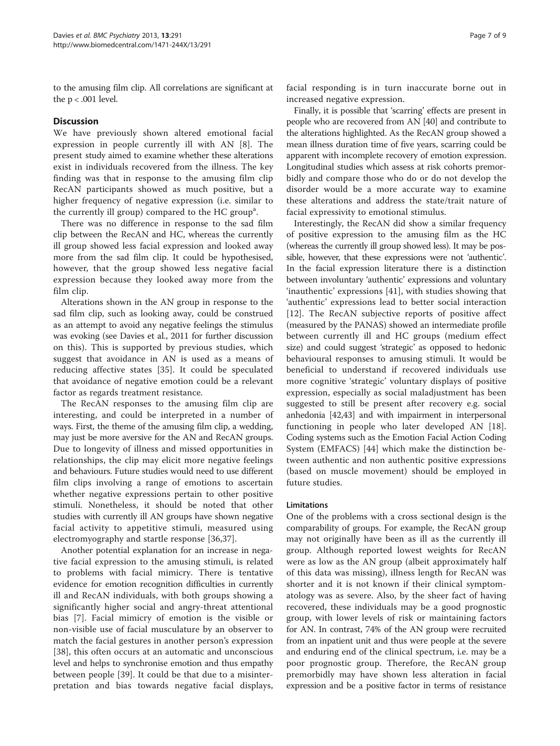to the amusing film clip. All correlations are significant at the  $p < .001$  level.

## **Discussion**

We have previously shown altered emotional facial expression in people currently ill with AN [[8](#page-7-0)]. The present study aimed to examine whether these alterations exist in individuals recovered from the illness. The key finding was that in response to the amusing film clip RecAN participants showed as much positive, but a higher frequency of negative expression (i.e. similar to the currently ill group) compared to the HC group<sup>a</sup>.

There was no difference in response to the sad film clip between the RecAN and HC, whereas the currently ill group showed less facial expression and looked away more from the sad film clip. It could be hypothesised, however, that the group showed less negative facial expression because they looked away more from the film clip.

Alterations shown in the AN group in response to the sad film clip, such as looking away, could be construed as an attempt to avoid any negative feelings the stimulus was evoking (see Davies et al., 2011 for further discussion on this). This is supported by previous studies, which suggest that avoidance in AN is used as a means of reducing affective states [\[35](#page-8-0)]. It could be speculated that avoidance of negative emotion could be a relevant factor as regards treatment resistance.

The RecAN responses to the amusing film clip are interesting, and could be interpreted in a number of ways. First, the theme of the amusing film clip, a wedding, may just be more aversive for the AN and RecAN groups. Due to longevity of illness and missed opportunities in relationships, the clip may elicit more negative feelings and behaviours. Future studies would need to use different film clips involving a range of emotions to ascertain whether negative expressions pertain to other positive stimuli. Nonetheless, it should be noted that other studies with currently ill AN groups have shown negative facial activity to appetitive stimuli, measured using electromyography and startle response [\[36](#page-8-0),[37\]](#page-8-0).

Another potential explanation for an increase in negative facial expression to the amusing stimuli, is related to problems with facial mimicry. There is tentative evidence for emotion recognition difficulties in currently ill and RecAN individuals, with both groups showing a significantly higher social and angry-threat attentional bias [[7\]](#page-7-0). Facial mimicry of emotion is the visible or non-visible use of facial musculature by an observer to match the facial gestures in another person's expression [[38\]](#page-8-0), this often occurs at an automatic and unconscious level and helps to synchronise emotion and thus empathy between people [[39](#page-8-0)]. It could be that due to a misinterpretation and bias towards negative facial displays,

facial responding is in turn inaccurate borne out in increased negative expression.

Finally, it is possible that 'scarring' effects are present in people who are recovered from AN [\[40\]](#page-8-0) and contribute to the alterations highlighted. As the RecAN group showed a mean illness duration time of five years, scarring could be apparent with incomplete recovery of emotion expression. Longitudinal studies which assess at risk cohorts premorbidly and compare those who do or do not develop the disorder would be a more accurate way to examine these alterations and address the state/trait nature of facial expressivity to emotional stimulus.

Interestingly, the RecAN did show a similar frequency of positive expression to the amusing film as the HC (whereas the currently ill group showed less). It may be possible, however, that these expressions were not 'authentic'. In the facial expression literature there is a distinction between involuntary 'authentic' expressions and voluntary 'inauthentic' expressions [\[41](#page-8-0)], with studies showing that 'authentic' expressions lead to better social interaction [[12\]](#page-7-0). The RecAN subjective reports of positive affect (measured by the PANAS) showed an intermediate profile between currently ill and HC groups (medium effect size) and could suggest 'strategic' as opposed to hedonic behavioural responses to amusing stimuli. It would be beneficial to understand if recovered individuals use more cognitive 'strategic' voluntary displays of positive expression, especially as social maladjustment has been suggested to still be present after recovery e.g. social anhedonia [\[42,43\]](#page-8-0) and with impairment in interpersonal functioning in people who later developed AN [\[18](#page-7-0)]. Coding systems such as the Emotion Facial Action Coding System (EMFACS) [[44\]](#page-8-0) which make the distinction between authentic and non authentic positive expressions (based on muscle movement) should be employed in future studies.

#### Limitations

One of the problems with a cross sectional design is the comparability of groups. For example, the RecAN group may not originally have been as ill as the currently ill group. Although reported lowest weights for RecAN were as low as the AN group (albeit approximately half of this data was missing), illness length for RecAN was shorter and it is not known if their clinical symptomatology was as severe. Also, by the sheer fact of having recovered, these individuals may be a good prognostic group, with lower levels of risk or maintaining factors for AN. In contrast, 74% of the AN group were recruited from an inpatient unit and thus were people at the severe and enduring end of the clinical spectrum, i.e. may be a poor prognostic group. Therefore, the RecAN group premorbidly may have shown less alteration in facial expression and be a positive factor in terms of resistance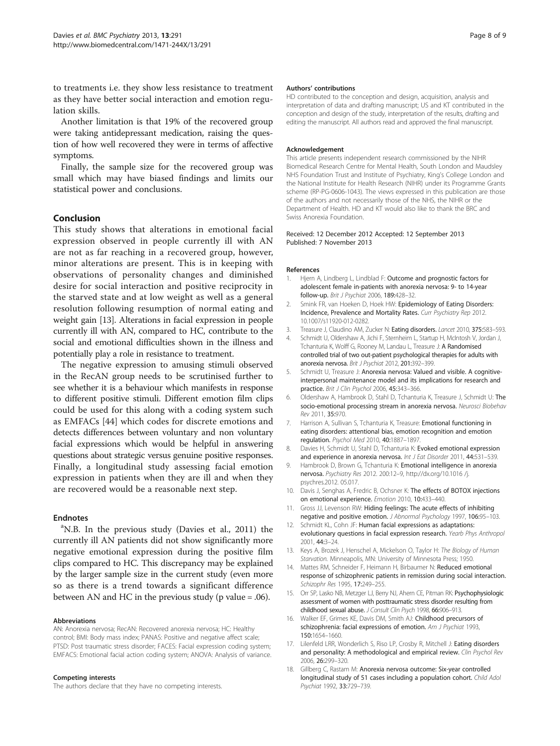<span id="page-7-0"></span>to treatments i.e. they show less resistance to treatment as they have better social interaction and emotion regulation skills.

Another limitation is that 19% of the recovered group were taking antidepressant medication, raising the question of how well recovered they were in terms of affective symptoms.

Finally, the sample size for the recovered group was small which may have biased findings and limits our statistical power and conclusions.

## Conclusion

This study shows that alterations in emotional facial expression observed in people currently ill with AN are not as far reaching in a recovered group, however, minor alterations are present. This is in keeping with observations of personality changes and diminished desire for social interaction and positive reciprocity in the starved state and at low weight as well as a general resolution following resumption of normal eating and weight gain [13]. Alterations in facial expression in people currently ill with AN, compared to HC, contribute to the social and emotional difficulties shown in the illness and potentially play a role in resistance to treatment.

The negative expression to amusing stimuli observed in the RecAN group needs to be scrutinised further to see whether it is a behaviour which manifests in response to different positive stimuli. Different emotion film clips could be used for this along with a coding system such as EMFACs [[44](#page-8-0)] which codes for discrete emotions and detects differences between voluntary and non voluntary facial expressions which would be helpful in answering questions about strategic versus genuine positive responses. Finally, a longitudinal study assessing facial emotion expression in patients when they are ill and when they are recovered would be a reasonable next step.

#### Endnotes

<sup>a</sup>N.B. In the previous study (Davies et al., 2011) the currently ill AN patients did not show significantly more negative emotional expression during the positive film clips compared to HC. This discrepancy may be explained by the larger sample size in the current study (even more so as there is a trend towards a significant difference between AN and HC in the previous study (p value = .06).

#### Abbreviations

AN: Anorexia nervosa; RecAN: Recovered anorexia nervosa; HC: Healthy control; BMI: Body mass index; PANAS: Positive and negative affect scale; PTSD: Post traumatic stress disorder; FACES: Facial expression coding system; EMFACS: Emotional facial action coding system; ANOVA: Analysis of variance.

#### Competing interests

The authors declare that they have no competing interests.

#### Authors' contributions

HD contributed to the conception and design, acquisition, analysis and interpretation of data and drafting manuscript; US and KT contributed in the conception and design of the study, interpretation of the results, drafting and editing the manuscript. All authors read and approved the final manuscript.

#### Acknowledgement

This article presents independent research commissioned by the NIHR Biomedical Research Centre for Mental Health, South London and Maudsley NHS Foundation Trust and Institute of Psychiatry, King's College London and the National Institute for Health Research (NIHR) under its Programme Grants scheme (RP-PG-0606-1043). The views expressed in this publication are those of the authors and not necessarily those of the NHS, the NIHR or the Department of Health. HD and KT would also like to thank the BRC and Swiss Anorexia Foundation.

#### Received: 12 December 2012 Accepted: 12 September 2013 Published: 7 November 2013

#### References

- 1. Hjern A, Lindberg L, Lindblad F: Outcome and prognostic factors for adolescent female in-patients with anorexia nervosa: 9- to 14-year follow-up. Brit J Psychiat 2006, 189:428–32.
- 2. Smink FR, van Hoeken D, Hoek HW: Epidemiology of Eating Disorders: Incidence, Prevalence and Mortality Rates. Curr Psychiatry Rep 2012. 10.1007/s11920-012-0282.
- 3. Treasure J, Claudino AM, Zucker N: Eating disorders. Lancet 2010, 375:583-593.
- 4. Schmidt U, Oldershaw A, Jichi F, Sternheim L, Startup H, McIntosh V, Jordan J, Tchanturia K, Wolff G, Rooney M, Landau L, Treasure J: A Randomised controlled trial of two out-patient psychological therapies for adults with anorexia nervosa. Brit J Psychiat 2012, 201:392–399.
- 5. Schmidt U, Treasure J: Anorexia nervosa: Valued and visible. A cognitiveinterpersonal maintenance model and its implications for research and practice. Brit J Clin Psychol 2006, 45:343–366.
- 6. Oldershaw A, Hambrook D, Stahl D, Tchanturia K, Treasure J, Schmidt U: The socio-emotional processing stream in anorexia nervosa. Neurosci Biobehav Rev 2011, 35:970.
- 7. Harrison A, Sullivan S, Tchanturia K, Treasure: Emotional functioning in eating disorders: attentional bias, emotion recognition and emotion regulation. Psychol Med 2010, 40:1887–1897.
- 8. Davies H, Schmidt U, Stahl D, Tchanturia K: Evoked emotional expression and experience in anorexia nervosa. Int J Eat Disorder 2011, 44:531-539.
- 9. Hambrook D, Brown G, Tchanturia K: Emotional intelligence in anorexia nervosa. Psychiatry Res 2012. 200:12–9,<http://dx.org/>10.1016 /j. psychres.2012. 05.017.
- 10. Davis J, Senghas A, Fredric B, Ochsner K: The effects of BOTOX injections on emotional experience. Emotion 2010, 10:433–440.
- 11. Gross JJ, Levenson RW: Hiding feelings: The acute effects of inhibiting negative and positive emotion. J Abnormal Psychology 1997, 106:95–103.
- 12. Schmidt KL, Cohn JF: Human facial expressions as adaptations: evolutionary questions in facial expression research. Yearb Phys Anthropol 2001, 44:3–24.
- 13. Keys A, Brozek J, Henschel A, Mickelson O, Taylor H: The Biology of Human Starvation. Minneapolis, MN: University of Minnesota Press; 1950.
- 14. Mattes RM, Schneider F, Heimann H, Birbaumer N: Reduced emotional response of schizophrenic patients in remission during social interaction. Schizophr Res 1995, 17:249–255.
- 15. Orr SP, Lasko NB, Metzger LJ, Berry NJ, Ahern CE, Pitman RK: Psychophysiologic assessment of women with posttraumatic stress disorder resulting from childhood sexual abuse. J Consult Clin Psych 1998, 66:906–913.
- 16. Walker EF, Grimes KE, Davis DM, Smith AJ: Childhood precursors of schizophrenia: facial expressions of emotion. Am J Psychiat 1993, 150:1654–1660.
- 17. Lilenfeld LRR, Wonderlich S, Riso LP, Crosby R, Mitchell J: Eating disorders and personality: A methodological and empirical review. Clin Psychol Rev 2006, 26:299–320.
- 18. Gillberg C, Rastam M: Anorexia nervosa outcome: Six-year controlled longitudinal study of 51 cases including a population cohort. Child Adol Psychiat 1992, 33:729–739.